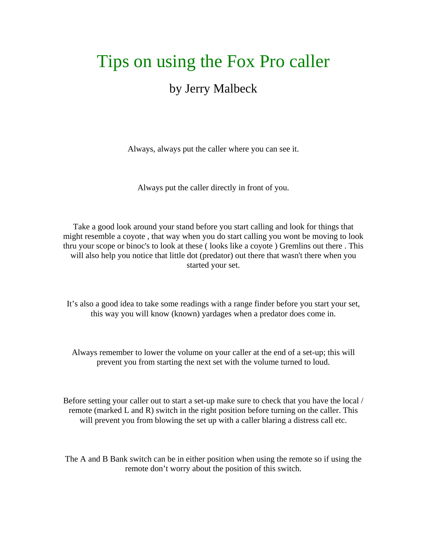## Tips on using the Fox Pro caller

## by Jerry Malbeck

Always, always put the caller where you can see it.

Always put the caller directly in front of you.

Take a good look around your stand before you start calling and look for things that might resemble a coyote , that way when you do start calling you wont be moving to look thru your scope or binoc's to look at these ( looks like a coyote ) Gremlins out there . This will also help you notice that little dot (predator) out there that wasn't there when you started your set.

It's also a good idea to take some readings with a range finder before you start your set, this way you will know (known) yardages when a predator does come in.

Always remember to lower the volume on your caller at the end of a set-up; this will prevent you from starting the next set with the volume turned to loud.

Before setting your caller out to start a set-up make sure to check that you have the local / remote (marked L and R) switch in the right position before turning on the caller. This will prevent you from blowing the set up with a caller blaring a distress call etc.

The A and B Bank switch can be in either position when using the remote so if using the remote don't worry about the position of this switch.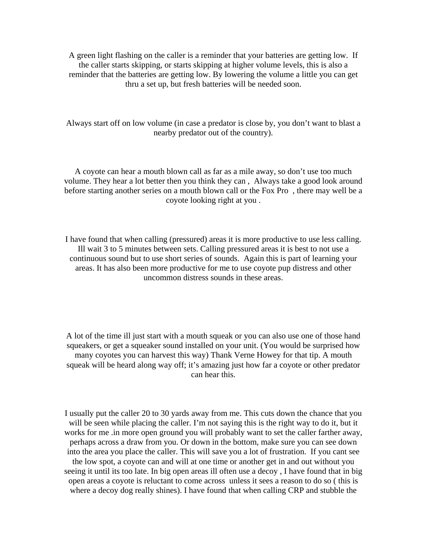A green light flashing on the caller is a reminder that your batteries are getting low. If the caller starts skipping, or starts skipping at higher volume levels, this is also a reminder that the batteries are getting low. By lowering the volume a little you can get thru a set up, but fresh batteries will be needed soon.

Always start off on low volume (in case a predator is close by, you don't want to blast a nearby predator out of the country).

A coyote can hear a mouth blown call as far as a mile away, so don't use too much volume. They hear a lot better then you think they can , Always take a good look around before starting another series on a mouth blown call or the Fox Pro , there may well be a coyote looking right at you .

I have found that when calling (pressured) areas it is more productive to use less calling. Ill wait 3 to 5 minutes between sets. Calling pressured areas it is best to not use a continuous sound but to use short series of sounds. Again this is part of learning your areas. It has also been more productive for me to use coyote pup distress and other uncommon distress sounds in these areas.

A lot of the time ill just start with a mouth squeak or you can also use one of those hand squeakers, or get a squeaker sound installed on your unit. (You would be surprised how many coyotes you can harvest this way) Thank Verne Howey for that tip. A mouth squeak will be heard along way off; it's amazing just how far a coyote or other predator can hear this.

I usually put the caller 20 to 30 yards away from me. This cuts down the chance that you will be seen while placing the caller. I'm not saying this is the right way to do it, but it works for me .in more open ground you will probably want to set the caller farther away, perhaps across a draw from you. Or down in the bottom, make sure you can see down into the area you place the caller. This will save you a lot of frustration. If you cant see the low spot, a coyote can and will at one time or another get in and out without you seeing it until its too late. In big open areas ill often use a decoy , I have found that in big open areas a coyote is reluctant to come across unless it sees a reason to do so ( this is where a decoy dog really shines). I have found that when calling CRP and stubble the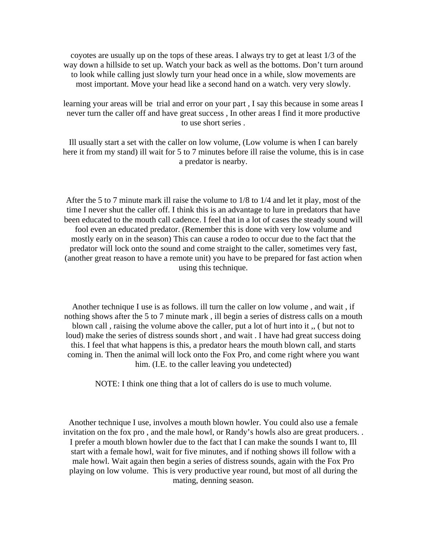coyotes are usually up on the tops of these areas. I always try to get at least 1/3 of the way down a hillside to set up. Watch your back as well as the bottoms. Don't turn around to look while calling just slowly turn your head once in a while, slow movements are most important. Move your head like a second hand on a watch. very very slowly.

learning your areas will be trial and error on your part , I say this because in some areas I never turn the caller off and have great success , In other areas I find it more productive to use short series .

Ill usually start a set with the caller on low volume, (Low volume is when I can barely here it from my stand) ill wait for 5 to 7 minutes before ill raise the volume, this is in case a predator is nearby.

After the 5 to 7 minute mark ill raise the volume to 1/8 to 1/4 and let it play, most of the time I never shut the caller off. I think this is an advantage to lure in predators that have been educated to the mouth call cadence. I feel that in a lot of cases the steady sound will fool even an educated predator. (Remember this is done with very low volume and mostly early on in the season) This can cause a rodeo to occur due to the fact that the predator will lock onto the sound and come straight to the caller, sometimes very fast, (another great reason to have a remote unit) you have to be prepared for fast action when using this technique.

Another technique I use is as follows. ill turn the caller on low volume , and wait , if nothing shows after the 5 to 7 minute mark , ill begin a series of distress calls on a mouth blown call , raising the volume above the caller, put a lot of hurt into it ,, ( but not to loud) make the series of distress sounds short , and wait . I have had great success doing this. I feel that what happens is this, a predator hears the mouth blown call, and starts coming in. Then the animal will lock onto the Fox Pro, and come right where you want him. (I.E. to the caller leaving you undetected)

NOTE: I think one thing that a lot of callers do is use to much volume.

Another technique I use, involves a mouth blown howler. You could also use a female invitation on the fox pro , and the male howl, or Randy's howls also are great producers. . I prefer a mouth blown howler due to the fact that I can make the sounds I want to, Ill start with a female howl, wait for five minutes, and if nothing shows ill follow with a male howl. Wait again then begin a series of distress sounds, again with the Fox Pro playing on low volume. This is very productive year round, but most of all during the mating, denning season.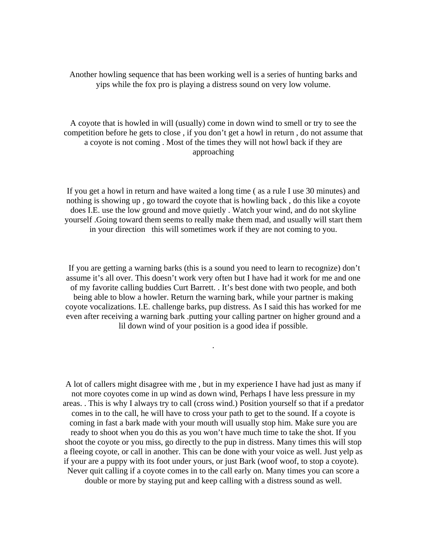Another howling sequence that has been working well is a series of hunting barks and yips while the fox pro is playing a distress sound on very low volume.

A coyote that is howled in will (usually) come in down wind to smell or try to see the competition before he gets to close , if you don't get a howl in return , do not assume that a coyote is not coming . Most of the times they will not howl back if they are approaching

If you get a howl in return and have waited a long time ( as a rule I use 30 minutes) and nothing is showing up , go toward the coyote that is howling back , do this like a coyote does I.E. use the low ground and move quietly . Watch your wind, and do not skyline yourself .Going toward them seems to really make them mad, and usually will start them in your direction this will sometimes work if they are not coming to you.

 If you are getting a warning barks (this is a sound you need to learn to recognize) don't assume it's all over. This doesn't work very often but I have had it work for me and one of my favorite calling buddies Curt Barrett. . It's best done with two people, and both being able to blow a howler. Return the warning bark, while your partner is making coyote vocalizations. I.E. challenge barks, pup distress. As I said this has worked for me even after receiving a warning bark .putting your calling partner on higher ground and a lil down wind of your position is a good idea if possible.

.

A lot of callers might disagree with me , but in my experience I have had just as many if not more coyotes come in up wind as down wind, Perhaps I have less pressure in my areas. . This is why I always try to call (cross wind.) Position yourself so that if a predator comes in to the call, he will have to cross your path to get to the sound. If a coyote is coming in fast a bark made with your mouth will usually stop him. Make sure you are ready to shoot when you do this as you won't have much time to take the shot. If you shoot the coyote or you miss, go directly to the pup in distress. Many times this will stop a fleeing coyote, or call in another. This can be done with your voice as well. Just yelp as if your are a puppy with its foot under yours, or just Bark (woof woof, to stop a coyote). Never quit calling if a coyote comes in to the call early on. Many times you can score a double or more by staying put and keep calling with a distress sound as well.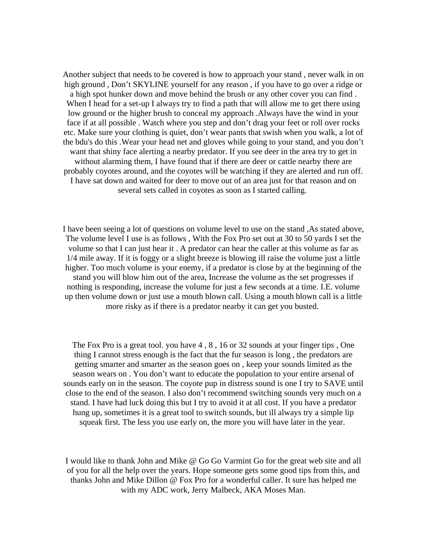Another subject that needs to be covered is how to approach your stand , never walk in on high ground , Don't SKYLINE yourself for any reason , if you have to go over a ridge or a high spot hunker down and move behind the brush or any other cover you can find . When I head for a set-up I always try to find a path that will allow me to get there using low ground or the higher brush to conceal my approach .Always have the wind in your face if at all possible . Watch where you step and don't drag your feet or roll over rocks etc. Make sure your clothing is quiet, don't wear pants that swish when you walk, a lot of the bdu's do this .Wear your head net and gloves while going to your stand, and you don't want that shiny face alerting a nearby predator. If you see deer in the area try to get in without alarming them, I have found that if there are deer or cattle nearby there are probably coyotes around, and the coyotes will be watching if they are alerted and run off. I have sat down and waited for deer to move out of an area just for that reason and on several sets called in coyotes as soon as I started calling.

I have been seeing a lot of questions on volume level to use on the stand ,As stated above, The volume level I use is as follows , With the Fox Pro set out at 30 to 50 yards I set the volume so that I can just hear it . A predator can hear the caller at this volume as far as 1/4 mile away. If it is foggy or a slight breeze is blowing ill raise the volume just a little higher. Too much volume is your enemy, if a predator is close by at the beginning of the stand you will blow him out of the area, Increase the volume as the set progresses if nothing is responding, increase the volume for just a few seconds at a time. I.E. volume up then volume down or just use a mouth blown call. Using a mouth blown call is a little more risky as if there is a predator nearby it can get you busted.

The Fox Pro is a great tool. you have 4 , 8 , 16 or 32 sounds at your finger tips , One thing I cannot stress enough is the fact that the fur season is long , the predators are getting smarter and smarter as the season goes on , keep your sounds limited as the season wears on . You don't want to educate the population to your entire arsenal of sounds early on in the season. The coyote pup in distress sound is one I try to SAVE until close to the end of the season. I also don't recommend switching sounds very much on a stand. I have had luck doing this but I try to avoid it at all cost. If you have a predator hung up, sometimes it is a great tool to switch sounds, but ill always try a simple lip squeak first. The less you use early on, the more you will have later in the year.

I would like to thank John and Mike @ Go Go Varmint Go for the great web site and all of you for all the help over the years. Hope someone gets some good tips from this, and thanks John and Mike Dillon @ Fox Pro for a wonderful caller. It sure has helped me with my ADC work, Jerry Malbeck, AKA Moses Man.